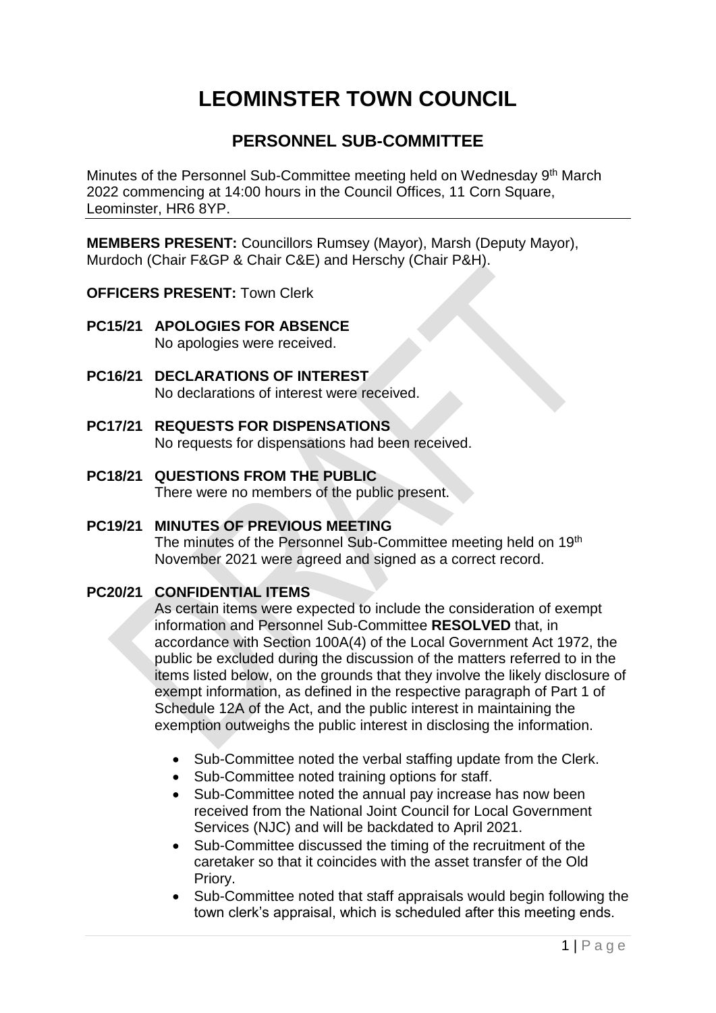# **LEOMINSTER TOWN COUNCIL**

## **PERSONNEL SUB-COMMITTEE**

Minutes of the Personnel Sub-Committee meeting held on Wednesday 9<sup>th</sup> March 2022 commencing at 14:00 hours in the Council Offices, 11 Corn Square, Leominster, HR6 8YP.

**MEMBERS PRESENT:** Councillors Rumsey (Mayor), Marsh (Deputy Mayor), Murdoch (Chair F&GP & Chair C&E) and Herschy (Chair P&H).

**OFFICERS PRESENT:** Town Clerk

- **PC15/21 APOLOGIES FOR ABSENCE** No apologies were received.
- **PC16/21 DECLARATIONS OF INTEREST** No declarations of interest were received.
- **PC17/21 REQUESTS FOR DISPENSATIONS** No requests for dispensations had been received.
- **PC18/21 QUESTIONS FROM THE PUBLIC**  There were no members of the public present.

#### **PC19/21 MINUTES OF PREVIOUS MEETING**

The minutes of the Personnel Sub-Committee meeting held on 19<sup>th</sup> November 2021 were agreed and signed as a correct record.

#### **PC20/21 CONFIDENTIAL ITEMS**

As certain items were expected to include the consideration of exempt information and Personnel Sub-Committee **RESOLVED** that, in accordance with Section 100A(4) of the Local Government Act 1972, the public be excluded during the discussion of the matters referred to in the items listed below, on the grounds that they involve the likely disclosure of exempt information, as defined in the respective paragraph of Part 1 of Schedule 12A of the Act, and the public interest in maintaining the exemption outweighs the public interest in disclosing the information.

- Sub-Committee noted the verbal staffing update from the Clerk.
- Sub-Committee noted training options for staff.
- Sub-Committee noted the annual pay increase has now been received from the National Joint Council for Local Government Services (NJC) and will be backdated to April 2021.
- Sub-Committee discussed the timing of the recruitment of the caretaker so that it coincides with the asset transfer of the Old Priory.
- Sub-Committee noted that staff appraisals would begin following the town clerk's appraisal, which is scheduled after this meeting ends.